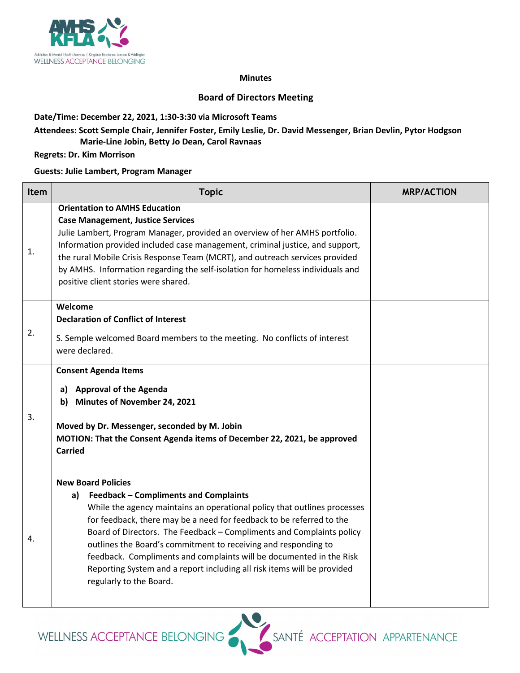

#### **Minutes**

## **Board of Directors Meeting**

## **Date/Time: December 22, 2021, 1:30-3:30 via Microsoft Teams**

# **Attendees: Scott Semple Chair, Jennifer Foster, Emily Leslie, Dr. David Messenger, Brian Devlin, Pytor Hodgson Marie-Line Jobin, Betty Jo Dean, Carol Ravnaas**

### **Regrets: Dr. Kim Morrison**

### **Guests: Julie Lambert, Program Manager**

| Item | <b>Topic</b>                                                                                                                                                                                                                                                                                                                                                                                                                                                                                                                                     | <b>MRP/ACTION</b> |
|------|--------------------------------------------------------------------------------------------------------------------------------------------------------------------------------------------------------------------------------------------------------------------------------------------------------------------------------------------------------------------------------------------------------------------------------------------------------------------------------------------------------------------------------------------------|-------------------|
| 1.   | <b>Orientation to AMHS Education</b><br><b>Case Management, Justice Services</b><br>Julie Lambert, Program Manager, provided an overview of her AMHS portfolio.<br>Information provided included case management, criminal justice, and support,<br>the rural Mobile Crisis Response Team (MCRT), and outreach services provided<br>by AMHS. Information regarding the self-isolation for homeless individuals and<br>positive client stories were shared.                                                                                       |                   |
| 2.   | Welcome<br><b>Declaration of Conflict of Interest</b><br>S. Semple welcomed Board members to the meeting. No conflicts of interest<br>were declared.                                                                                                                                                                                                                                                                                                                                                                                             |                   |
| 3.   | <b>Consent Agenda Items</b><br><b>Approval of the Agenda</b><br>a)<br>b) Minutes of November 24, 2021<br>Moved by Dr. Messenger, seconded by M. Jobin<br>MOTION: That the Consent Agenda items of December 22, 2021, be approved<br><b>Carried</b>                                                                                                                                                                                                                                                                                               |                   |
| 4.   | <b>New Board Policies</b><br>a) Feedback - Compliments and Complaints<br>While the agency maintains an operational policy that outlines processes<br>for feedback, there may be a need for feedback to be referred to the<br>Board of Directors. The Feedback - Compliments and Complaints policy<br>outlines the Board's commitment to receiving and responding to<br>feedback. Compliments and complaints will be documented in the Risk<br>Reporting System and a report including all risk items will be provided<br>regularly to the Board. |                   |

WELLNESS ACCEPTANCE BELONGING

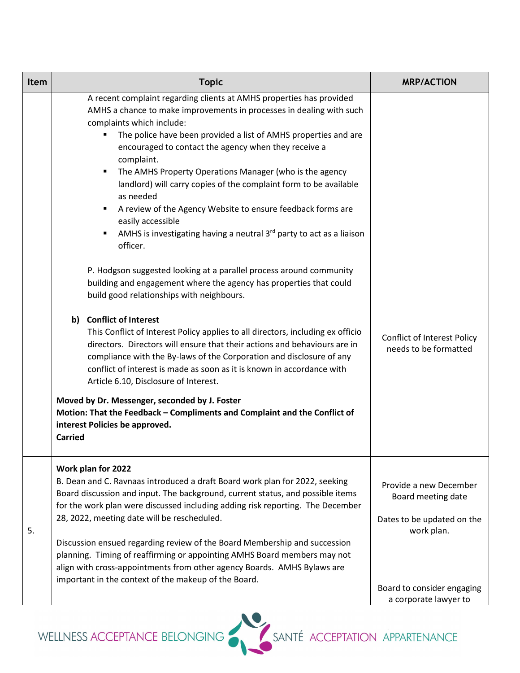| Item | <b>Topic</b>                                                                                                                                                                                                                                                                                                                                                                                                                                                                                                                                                                                                                                                                                                                                                                                                                                                                                                                                                                                                                                                    | <b>MRP/ACTION</b>                                                                        |
|------|-----------------------------------------------------------------------------------------------------------------------------------------------------------------------------------------------------------------------------------------------------------------------------------------------------------------------------------------------------------------------------------------------------------------------------------------------------------------------------------------------------------------------------------------------------------------------------------------------------------------------------------------------------------------------------------------------------------------------------------------------------------------------------------------------------------------------------------------------------------------------------------------------------------------------------------------------------------------------------------------------------------------------------------------------------------------|------------------------------------------------------------------------------------------|
|      | A recent complaint regarding clients at AMHS properties has provided<br>AMHS a chance to make improvements in processes in dealing with such<br>complaints which include:<br>The police have been provided a list of AMHS properties and are<br>٠<br>encouraged to contact the agency when they receive a<br>complaint.<br>The AMHS Property Operations Manager (who is the agency<br>$\blacksquare$<br>landlord) will carry copies of the complaint form to be available<br>as needed<br>A review of the Agency Website to ensure feedback forms are<br>٠<br>easily accessible<br>AMHS is investigating having a neutral $3rd$ party to act as a liaison<br>٠<br>officer.<br>P. Hodgson suggested looking at a parallel process around community<br>building and engagement where the agency has properties that could<br>build good relationships with neighbours.<br>b) Conflict of Interest<br>This Conflict of Interest Policy applies to all directors, including ex officio<br>directors. Directors will ensure that their actions and behaviours are in | <b>Conflict of Interest Policy</b>                                                       |
|      | compliance with the By-laws of the Corporation and disclosure of any<br>conflict of interest is made as soon as it is known in accordance with<br>Article 6.10, Disclosure of Interest.<br>Moved by Dr. Messenger, seconded by J. Foster<br>Motion: That the Feedback - Compliments and Complaint and the Conflict of<br>interest Policies be approved.<br><b>Carried</b>                                                                                                                                                                                                                                                                                                                                                                                                                                                                                                                                                                                                                                                                                       | needs to be formatted                                                                    |
| 5.   | Work plan for 2022<br>B. Dean and C. Ravnaas introduced a draft Board work plan for 2022, seeking<br>Board discussion and input. The background, current status, and possible items<br>for the work plan were discussed including adding risk reporting. The December<br>28, 2022, meeting date will be rescheduled.<br>Discussion ensued regarding review of the Board Membership and succession<br>planning. Timing of reaffirming or appointing AMHS Board members may not<br>align with cross-appointments from other agency Boards. AMHS Bylaws are<br>important in the context of the makeup of the Board.                                                                                                                                                                                                                                                                                                                                                                                                                                                | Provide a new December<br>Board meeting date<br>Dates to be updated on the<br>work plan. |
|      |                                                                                                                                                                                                                                                                                                                                                                                                                                                                                                                                                                                                                                                                                                                                                                                                                                                                                                                                                                                                                                                                 | Board to consider engaging<br>a corporate lawyer to                                      |

WELLNESS ACCEPTANCE BELONGING<br>SANTÉ ACCEPTATION APPARTENANCE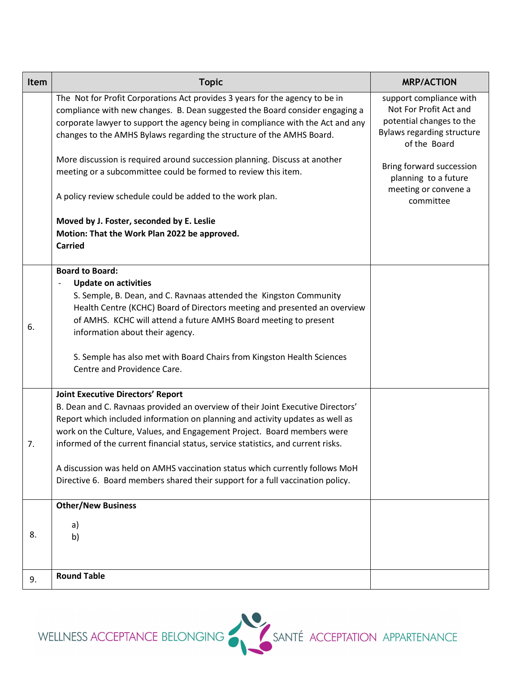| <b>Item</b> | <b>Topic</b>                                                                                                                                                                                                                                                                                                                                                                                                                                                                                                                                                                       | <b>MRP/ACTION</b>                                                                                                                                                                                                    |
|-------------|------------------------------------------------------------------------------------------------------------------------------------------------------------------------------------------------------------------------------------------------------------------------------------------------------------------------------------------------------------------------------------------------------------------------------------------------------------------------------------------------------------------------------------------------------------------------------------|----------------------------------------------------------------------------------------------------------------------------------------------------------------------------------------------------------------------|
|             | The Not for Profit Corporations Act provides 3 years for the agency to be in<br>compliance with new changes. B. Dean suggested the Board consider engaging a<br>corporate lawyer to support the agency being in compliance with the Act and any<br>changes to the AMHS Bylaws regarding the structure of the AMHS Board.<br>More discussion is required around succession planning. Discuss at another<br>meeting or a subcommittee could be formed to review this item.<br>A policy review schedule could be added to the work plan.<br>Moved by J. Foster, seconded by E. Leslie | support compliance with<br>Not For Profit Act and<br>potential changes to the<br>Bylaws regarding structure<br>of the Board<br>Bring forward succession<br>planning to a future<br>meeting or convene a<br>committee |
|             | Motion: That the Work Plan 2022 be approved.<br><b>Carried</b>                                                                                                                                                                                                                                                                                                                                                                                                                                                                                                                     |                                                                                                                                                                                                                      |
| 6.          | <b>Board to Board:</b><br><b>Update on activities</b><br>S. Semple, B. Dean, and C. Ravnaas attended the Kingston Community<br>Health Centre (KCHC) Board of Directors meeting and presented an overview<br>of AMHS. KCHC will attend a future AMHS Board meeting to present<br>information about their agency.<br>S. Semple has also met with Board Chairs from Kingston Health Sciences<br>Centre and Providence Care.                                                                                                                                                           |                                                                                                                                                                                                                      |
| 7.          | <b>Joint Executive Directors' Report</b><br>B. Dean and C. Ravnaas provided an overview of their Joint Executive Directors'<br>Report which included information on planning and activity updates as well as<br>work on the Culture, Values, and Engagement Project. Board members were<br>informed of the current financial status, service statistics, and current risks.<br>A discussion was held on AMHS vaccination status which currently follows MoH<br>Directive 6. Board members shared their support for a full vaccination policy.                                      |                                                                                                                                                                                                                      |
| 8.          | <b>Other/New Business</b><br>a)<br>b)                                                                                                                                                                                                                                                                                                                                                                                                                                                                                                                                              |                                                                                                                                                                                                                      |
| 9.          | <b>Round Table</b>                                                                                                                                                                                                                                                                                                                                                                                                                                                                                                                                                                 |                                                                                                                                                                                                                      |

WELLNESS ACCEPTANCE BELONGING<br>SANTÉ ACCEPTATION APPARTENANCE